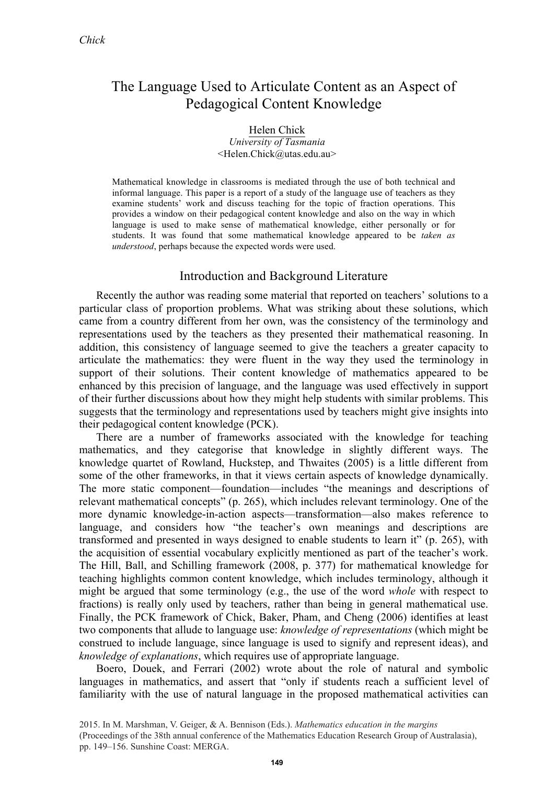# The Language Used to Articulate Content as an Aspect of Pedagogical Content Knowledge

#### Helen Chick *University of Tasmania* <Helen.Chick@utas.edu.au>

Mathematical knowledge in classrooms is mediated through the use of both technical and informal language. This paper is a report of a study of the language use of teachers as they examine students' work and discuss teaching for the topic of fraction operations. This provides a window on their pedagogical content knowledge and also on the way in which language is used to make sense of mathematical knowledge, either personally or for students. It was found that some mathematical knowledge appeared to be *taken as understood*, perhaps because the expected words were used.

# Introduction and Background Literature

Recently the author was reading some material that reported on teachers' solutions to a particular class of proportion problems. What was striking about these solutions, which came from a country different from her own, was the consistency of the terminology and representations used by the teachers as they presented their mathematical reasoning. In addition, this consistency of language seemed to give the teachers a greater capacity to articulate the mathematics: they were fluent in the way they used the terminology in support of their solutions. Their content knowledge of mathematics appeared to be enhanced by this precision of language, and the language was used effectively in support of their further discussions about how they might help students with similar problems. This suggests that the terminology and representations used by teachers might give insights into their pedagogical content knowledge (PCK).

There are a number of frameworks associated with the knowledge for teaching mathematics, and they categorise that knowledge in slightly different ways. The knowledge quartet of Rowland, Huckstep, and Thwaites (2005) is a little different from some of the other frameworks, in that it views certain aspects of knowledge dynamically. The more static component—foundation—includes "the meanings and descriptions of relevant mathematical concepts" (p. 265), which includes relevant terminology. One of the more dynamic knowledge-in-action aspects—transformation—also makes reference to language, and considers how "the teacher's own meanings and descriptions are transformed and presented in ways designed to enable students to learn it" (p. 265), with the acquisition of essential vocabulary explicitly mentioned as part of the teacher's work. The Hill, Ball, and Schilling framework (2008, p. 377) for mathematical knowledge for teaching highlights common content knowledge, which includes terminology, although it might be argued that some terminology (e.g., the use of the word *whole* with respect to fractions) is really only used by teachers, rather than being in general mathematical use. Finally, the PCK framework of Chick, Baker, Pham, and Cheng (2006) identifies at least two components that allude to language use: *knowledge of representations* (which might be construed to include language, since language is used to signify and represent ideas), and *knowledge of explanations*, which requires use of appropriate language.

Boero, Douek, and Ferrari (2002) wrote about the role of natural and symbolic languages in mathematics, and assert that "only if students reach a sufficient level of familiarity with the use of natural language in the proposed mathematical activities can

<sup>2</sup> 2015. In M. Marshman, V. Geiger, & A. Bennison (Eds.). *Mathematics education in the margins (* (Proceedings of the 38th annual conference of the Mathematics Education Research Group of Australasia), pp. 149–156. Sunshine Coast: MERGA.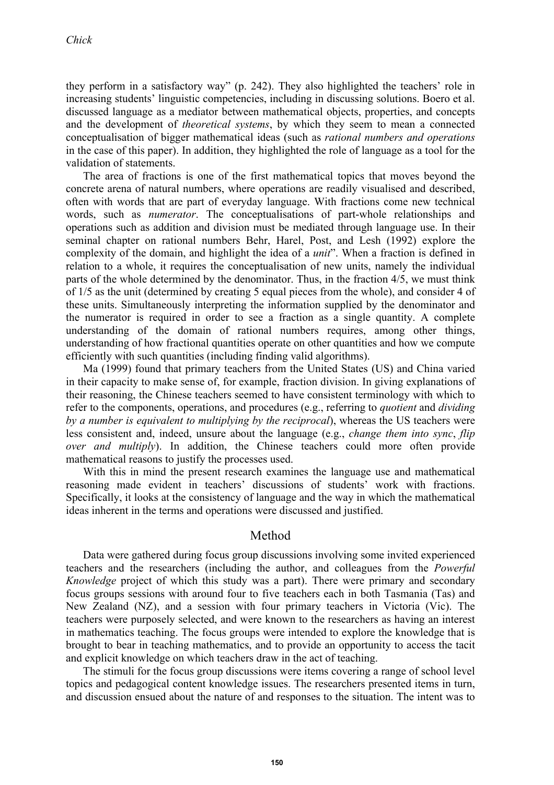they perform in a satisfactory way" (p. 242). They also highlighted the teachers' role in increasing students' linguistic competencies, including in discussing solutions. Boero et al. discussed language as a mediator between mathematical objects, properties, and concepts and the development of *theoretical systems*, by which they seem to mean a connected conceptualisation of bigger mathematical ideas (such as *rational numbers and operations* in the case of this paper). In addition, they highlighted the role of language as a tool for the validation of statements.

The area of fractions is one of the first mathematical topics that moves beyond the concrete arena of natural numbers, where operations are readily visualised and described, often with words that are part of everyday language. With fractions come new technical words, such as *numerator*. The conceptualisations of part-whole relationships and operations such as addition and division must be mediated through language use. In their seminal chapter on rational numbers Behr, Harel, Post, and Lesh (1992) explore the complexity of the domain, and highlight the idea of a *unit*". When a fraction is defined in relation to a whole, it requires the conceptualisation of new units, namely the individual parts of the whole determined by the denominator. Thus, in the fraction 4/5, we must think of 1/5 as the unit (determined by creating 5 equal pieces from the whole), and consider 4 of these units. Simultaneously interpreting the information supplied by the denominator and the numerator is required in order to see a fraction as a single quantity. A complete understanding of the domain of rational numbers requires, among other things, understanding of how fractional quantities operate on other quantities and how we compute efficiently with such quantities (including finding valid algorithms).

Ma (1999) found that primary teachers from the United States (US) and China varied in their capacity to make sense of, for example, fraction division. In giving explanations of their reasoning, the Chinese teachers seemed to have consistent terminology with which to refer to the components, operations, and procedures (e.g., referring to *quotient* and *dividing by a number is equivalent to multiplying by the reciprocal*), whereas the US teachers were less consistent and, indeed, unsure about the language (e.g., *change them into sync*, *flip over and multiply*). In addition, the Chinese teachers could more often provide mathematical reasons to justify the processes used.

With this in mind the present research examines the language use and mathematical reasoning made evident in teachers' discussions of students' work with fractions. Specifically, it looks at the consistency of language and the way in which the mathematical ideas inherent in the terms and operations were discussed and justified.

## Method

Data were gathered during focus group discussions involving some invited experienced teachers and the researchers (including the author, and colleagues from the *Powerful Knowledge* project of which this study was a part). There were primary and secondary focus groups sessions with around four to five teachers each in both Tasmania (Tas) and New Zealand (NZ), and a session with four primary teachers in Victoria (Vic). The teachers were purposely selected, and were known to the researchers as having an interest in mathematics teaching. The focus groups were intended to explore the knowledge that is brought to bear in teaching mathematics, and to provide an opportunity to access the tacit and explicit knowledge on which teachers draw in the act of teaching.

The stimuli for the focus group discussions were items covering a range of school level topics and pedagogical content knowledge issues. The researchers presented items in turn, and discussion ensued about the nature of and responses to the situation. The intent was to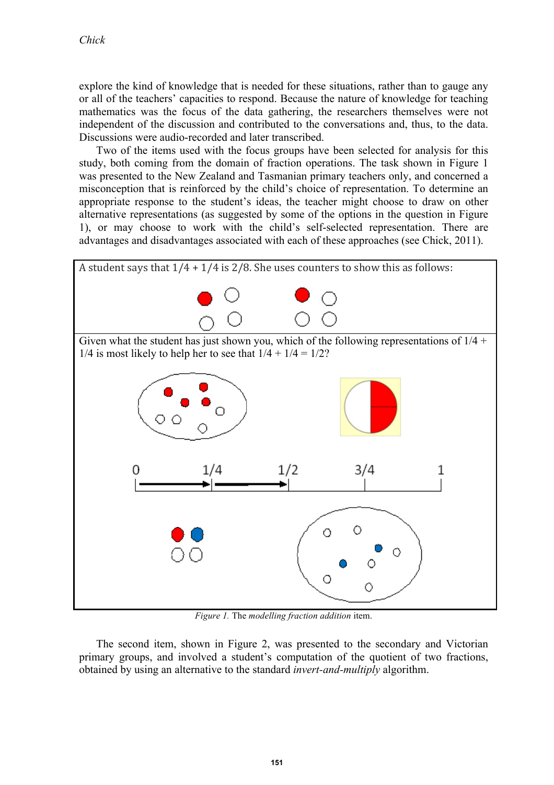explore the kind of knowledge that is needed for these situations, rather than to gauge any or all of the teachers' capacities to respond. Because the nature of knowledge for teaching mathematics was the focus of the data gathering, the researchers themselves were not independent of the discussion and contributed to the conversations and, thus, to the data. Discussions were audio-recorded and later transcribed.

Two of the items used with the focus groups have been selected for analysis for this study, both coming from the domain of fraction operations. The task shown in Figure 1 was presented to the New Zealand and Tasmanian primary teachers only, and concerned a misconception that is reinforced by the child's choice of representation. To determine an appropriate response to the student's ideas, the teacher might choose to draw on other alternative representations (as suggested by some of the options in the question in Figure 1), or may choose to work with the child's self-selected representation. There are advantages and disadvantages associated with each of these approaches (see Chick, 2011).



*Figure 1.* The *modelling fraction addition* item.

The second item, shown in Figure 2, was presented to the secondary and Victorian primary groups, and involved a student's computation of the quotient of two fractions, obtained by using an alternative to the standard *invert-and-multiply* algorithm.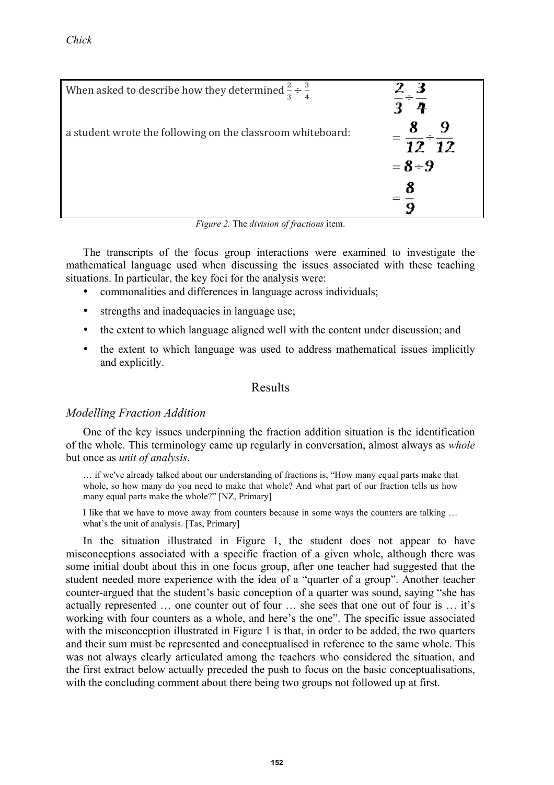| When asked to describe how they determined $\frac{2}{3} \div \frac{3}{4}$ | - 3       |
|---------------------------------------------------------------------------|-----------|
| a student wrote the following on the classroom whiteboard:                | 12 12     |
|                                                                           | $= 8 - 9$ |
|                                                                           |           |
|                                                                           |           |

*Figure 2.* The *division of fractions* item.

The transcripts of the focus group interactions were examined to investigate the mathematical language used when discussing the issues associated with these teaching situations. In particular, the key foci for the analysis were:

- commonalities and differences in language across individuals;
- strengths and inadequacies in language use;
- the extent to which language aligned well with the content under discussion; and
- the extent to which language was used to address mathematical issues implicitly and explicitly.

# Results

## *Modelling Fraction Addition*

One of the key issues underpinning the fraction addition situation is the identification of the whole. This terminology came up regularly in conversation, almost always as *whole* but once as *unit of analysis*.

… if we've already talked about our understanding of fractions is, "How many equal parts make that whole, so how many do you need to make that whole? And what part of our fraction tells us how many equal parts make the whole?" [NZ, Primary]

I like that we have to move away from counters because in some ways the counters are talking ... what's the unit of analysis. [Tas, Primary]

In the situation illustrated in Figure 1, the student does not appear to have misconceptions associated with a specific fraction of a given whole, although there was some initial doubt about this in one focus group, after one teacher had suggested that the student needed more experience with the idea of a "quarter of a group". Another teacher counter-argued that the student's basic conception of a quarter was sound, saying "she has actually represented … one counter out of four … she sees that one out of four is … it's working with four counters as a whole, and here's the one". The specific issue associated with the misconception illustrated in Figure 1 is that, in order to be added, the two quarters and their sum must be represented and conceptualised in reference to the same whole. This was not always clearly articulated among the teachers who considered the situation, and the first extract below actually preceded the push to focus on the basic conceptualisations, with the concluding comment about there being two groups not followed up at first.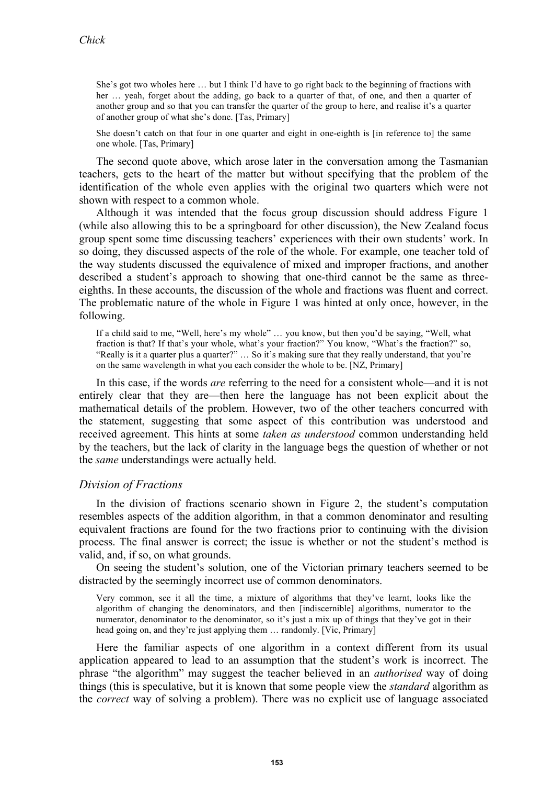She's got two wholes here … but I think I'd have to go right back to the beginning of fractions with her … yeah, forget about the adding, go back to a quarter of that, of one, and then a quarter of another group and so that you can transfer the quarter of the group to here, and realise it's a quarter of another group of what she's done. [Tas, Primary]

She doesn't catch on that four in one quarter and eight in one-eighth is [in reference to] the same one whole. [Tas, Primary]

The second quote above, which arose later in the conversation among the Tasmanian teachers, gets to the heart of the matter but without specifying that the problem of the identification of the whole even applies with the original two quarters which were not shown with respect to a common whole.

Although it was intended that the focus group discussion should address Figure 1 (while also allowing this to be a springboard for other discussion), the New Zealand focus group spent some time discussing teachers' experiences with their own students' work. In so doing, they discussed aspects of the role of the whole. For example, one teacher told of the way students discussed the equivalence of mixed and improper fractions, and another described a student's approach to showing that one-third cannot be the same as threeeighths. In these accounts, the discussion of the whole and fractions was fluent and correct. The problematic nature of the whole in Figure 1 was hinted at only once, however, in the following.

If a child said to me, "Well, here's my whole" … you know, but then you'd be saying, "Well, what fraction is that? If that's your whole, what's your fraction?" You know, "What's the fraction?" so, "Really is it a quarter plus a quarter?" … So it's making sure that they really understand, that you're on the same wavelength in what you each consider the whole to be. [NZ, Primary]

In this case, if the words *are* referring to the need for a consistent whole—and it is not entirely clear that they are—then here the language has not been explicit about the mathematical details of the problem. However, two of the other teachers concurred with the statement, suggesting that some aspect of this contribution was understood and received agreement. This hints at some *taken as understood* common understanding held by the teachers, but the lack of clarity in the language begs the question of whether or not the *same* understandings were actually held.

## *Division of Fractions*

In the division of fractions scenario shown in Figure 2, the student's computation resembles aspects of the addition algorithm, in that a common denominator and resulting equivalent fractions are found for the two fractions prior to continuing with the division process. The final answer is correct; the issue is whether or not the student's method is valid, and, if so, on what grounds.

On seeing the student's solution, one of the Victorian primary teachers seemed to be distracted by the seemingly incorrect use of common denominators.

Very common, see it all the time, a mixture of algorithms that they've learnt, looks like the algorithm of changing the denominators, and then [indiscernible] algorithms, numerator to the numerator, denominator to the denominator, so it's just a mix up of things that they've got in their head going on, and they're just applying them … randomly. [Vic, Primary]

Here the familiar aspects of one algorithm in a context different from its usual application appeared to lead to an assumption that the student's work is incorrect. The phrase "the algorithm" may suggest the teacher believed in an *authorised* way of doing things (this is speculative, but it is known that some people view the *standard* algorithm as the *correct* way of solving a problem). There was no explicit use of language associated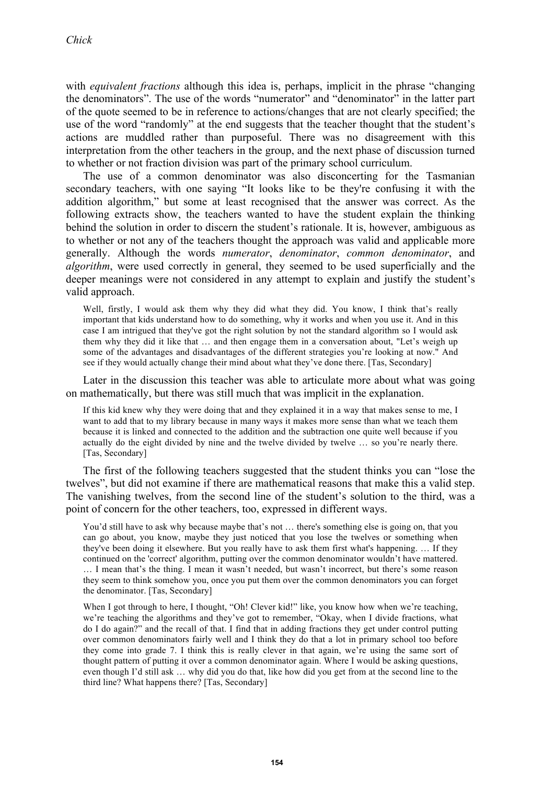with *equivalent fractions* although this idea is, perhaps, implicit in the phrase "changing the denominators". The use of the words "numerator" and "denominator" in the latter part of the quote seemed to be in reference to actions/changes that are not clearly specified; the use of the word "randomly" at the end suggests that the teacher thought that the student's actions are muddled rather than purposeful. There was no disagreement with this interpretation from the other teachers in the group, and the next phase of discussion turned to whether or not fraction division was part of the primary school curriculum.

The use of a common denominator was also disconcerting for the Tasmanian secondary teachers, with one saying "It looks like to be they're confusing it with the addition algorithm," but some at least recognised that the answer was correct. As the following extracts show, the teachers wanted to have the student explain the thinking behind the solution in order to discern the student's rationale. It is, however, ambiguous as to whether or not any of the teachers thought the approach was valid and applicable more generally. Although the words *numerator*, *denominator*, *common denominator*, and *algorithm*, were used correctly in general, they seemed to be used superficially and the deeper meanings were not considered in any attempt to explain and justify the student's valid approach.

Well, firstly, I would ask them why they did what they did. You know, I think that's really important that kids understand how to do something, why it works and when you use it. And in this case I am intrigued that they've got the right solution by not the standard algorithm so I would ask them why they did it like that … and then engage them in a conversation about, "Let's weigh up some of the advantages and disadvantages of the different strategies you're looking at now." And see if they would actually change their mind about what they've done there. [Tas, Secondary]

Later in the discussion this teacher was able to articulate more about what was going on mathematically, but there was still much that was implicit in the explanation.

If this kid knew why they were doing that and they explained it in a way that makes sense to me, I want to add that to my library because in many ways it makes more sense than what we teach them because it is linked and connected to the addition and the subtraction one quite well because if you actually do the eight divided by nine and the twelve divided by twelve … so you're nearly there. [Tas, Secondary]

The first of the following teachers suggested that the student thinks you can "lose the twelves", but did not examine if there are mathematical reasons that make this a valid step. The vanishing twelves, from the second line of the student's solution to the third, was a point of concern for the other teachers, too, expressed in different ways.

You'd still have to ask why because maybe that's not ... there's something else is going on, that you can go about, you know, maybe they just noticed that you lose the twelves or something when they've been doing it elsewhere. But you really have to ask them first what's happening. … If they continued on the 'correct' algorithm, putting over the common denominator wouldn't have mattered. … I mean that's the thing. I mean it wasn't needed, but wasn't incorrect, but there's some reason they seem to think somehow you, once you put them over the common denominators you can forget the denominator. [Tas, Secondary]

When I got through to here, I thought, "Oh! Clever kid!" like, you know how when we're teaching, we're teaching the algorithms and they've got to remember, "Okay, when I divide fractions, what do I do again?" and the recall of that. I find that in adding fractions they get under control putting over common denominators fairly well and I think they do that a lot in primary school too before they come into grade 7. I think this is really clever in that again, we're using the same sort of thought pattern of putting it over a common denominator again. Where I would be asking questions, even though I'd still ask … why did you do that, like how did you get from at the second line to the third line? What happens there? [Tas, Secondary]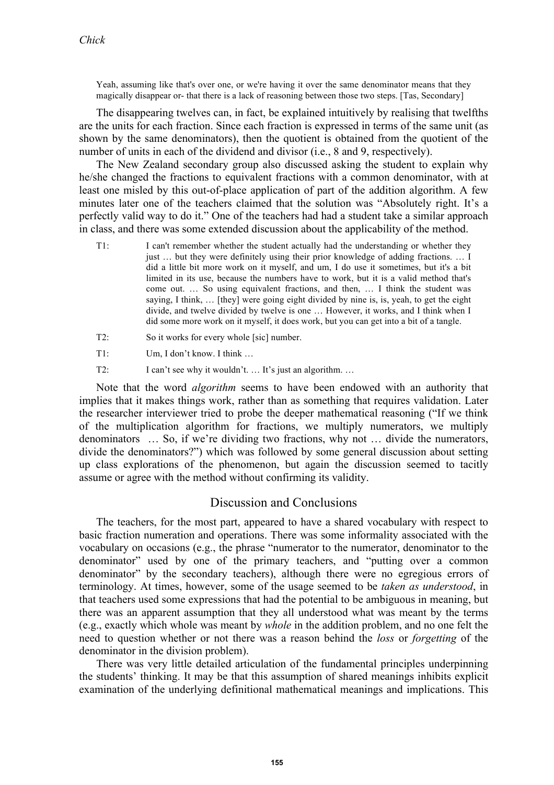Yeah, assuming like that's over one, or we're having it over the same denominator means that they magically disappear or- that there is a lack of reasoning between those two steps. [Tas, Secondary]

The disappearing twelves can, in fact, be explained intuitively by realising that twelfths are the units for each fraction. Since each fraction is expressed in terms of the same unit (as shown by the same denominators), then the quotient is obtained from the quotient of the number of units in each of the dividend and divisor (i.e., 8 and 9, respectively).

The New Zealand secondary group also discussed asking the student to explain why he/she changed the fractions to equivalent fractions with a common denominator, with at least one misled by this out-of-place application of part of the addition algorithm. A few minutes later one of the teachers claimed that the solution was "Absolutely right. It's a perfectly valid way to do it." One of the teachers had had a student take a similar approach in class, and there was some extended discussion about the applicability of the method.

- T1: I can't remember whether the student actually had the understanding or whether they just … but they were definitely using their prior knowledge of adding fractions. … I did a little bit more work on it myself, and um, I do use it sometimes, but it's a bit limited in its use, because the numbers have to work, but it is a valid method that's come out. … So using equivalent fractions, and then, … I think the student was saying, I think, … [they] were going eight divided by nine is, is, yeah, to get the eight divide, and twelve divided by twelve is one … However, it works, and I think when I did some more work on it myself, it does work, but you can get into a bit of a tangle.
- T2: So it works for every whole [sic] number.
- T1: Um, I don't know. I think …
- T2: I can't see why it wouldn't. ... It's just an algorithm. ...

Note that the word *algorithm* seems to have been endowed with an authority that implies that it makes things work, rather than as something that requires validation. Later the researcher interviewer tried to probe the deeper mathematical reasoning ("If we think of the multiplication algorithm for fractions, we multiply numerators, we multiply denominators … So, if we're dividing two fractions, why not … divide the numerators, divide the denominators?") which was followed by some general discussion about setting up class explorations of the phenomenon, but again the discussion seemed to tacitly assume or agree with the method without confirming its validity.

## Discussion and Conclusions

The teachers, for the most part, appeared to have a shared vocabulary with respect to basic fraction numeration and operations. There was some informality associated with the vocabulary on occasions (e.g., the phrase "numerator to the numerator, denominator to the denominator" used by one of the primary teachers, and "putting over a common denominator" by the secondary teachers), although there were no egregious errors of terminology. At times, however, some of the usage seemed to be *taken as understood*, in that teachers used some expressions that had the potential to be ambiguous in meaning, but there was an apparent assumption that they all understood what was meant by the terms (e.g., exactly which whole was meant by *whole* in the addition problem, and no one felt the need to question whether or not there was a reason behind the *loss* or *forgetting* of the denominator in the division problem).

There was very little detailed articulation of the fundamental principles underpinning the students' thinking. It may be that this assumption of shared meanings inhibits explicit examination of the underlying definitional mathematical meanings and implications. This